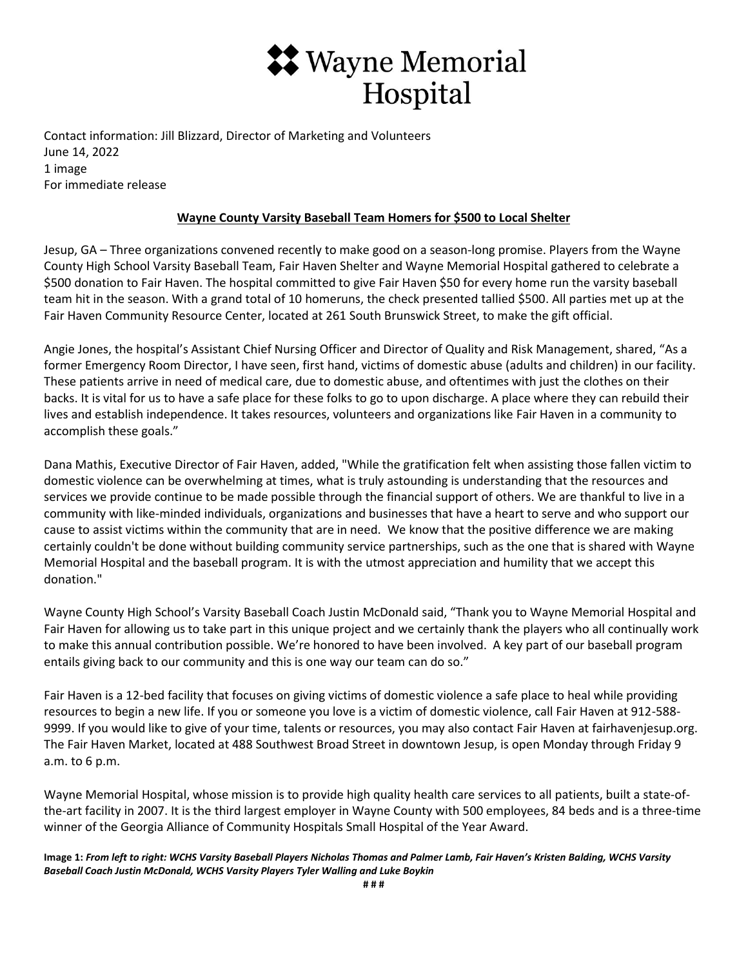

Contact information: Jill Blizzard, Director of Marketing and Volunteers June 14, 2022 1 image For immediate release

## **Wayne County Varsity Baseball Team Homers for \$500 to Local Shelter**

Jesup, GA – Three organizations convened recently to make good on a season-long promise. Players from the Wayne County High School Varsity Baseball Team, Fair Haven Shelter and Wayne Memorial Hospital gathered to celebrate a \$500 donation to Fair Haven. The hospital committed to give Fair Haven \$50 for every home run the varsity baseball team hit in the season. With a grand total of 10 homeruns, the check presented tallied \$500. All parties met up at the Fair Haven Community Resource Center, located at 261 South Brunswick Street, to make the gift official.

Angie Jones, the hospital's Assistant Chief Nursing Officer and Director of Quality and Risk Management, shared, "As a former Emergency Room Director, I have seen, first hand, victims of domestic abuse (adults and children) in our facility. These patients arrive in need of medical care, due to domestic abuse, and oftentimes with just the clothes on their backs. It is vital for us to have a safe place for these folks to go to upon discharge. A place where they can rebuild their lives and establish independence. It takes resources, volunteers and organizations like Fair Haven in a community to accomplish these goals."

Dana Mathis, Executive Director of Fair Haven, added, "While the gratification felt when assisting those fallen victim to domestic violence can be overwhelming at times, what is truly astounding is understanding that the resources and services we provide continue to be made possible through the financial support of others. We are thankful to live in a community with like-minded individuals, organizations and businesses that have a heart to serve and who support our cause to assist victims within the community that are in need. We know that the positive difference we are making certainly couldn't be done without building community service partnerships, such as the one that is shared with Wayne Memorial Hospital and the baseball program. It is with the utmost appreciation and humility that we accept this donation."

Wayne County High School's Varsity Baseball Coach Justin McDonald said, "Thank you to Wayne Memorial Hospital and Fair Haven for allowing us to take part in this unique project and we certainly thank the players who all continually work to make this annual contribution possible. We're honored to have been involved. A key part of our baseball program entails giving back to our community and this is one way our team can do so."

Fair Haven is a 12-bed facility that focuses on giving victims of domestic violence a safe place to heal while providing resources to begin a new life. If you or someone you love is a victim of domestic violence, call Fair Haven at 912-588- 9999. If you would like to give of your time, talents or resources, you may also contact Fair Haven at fairhavenjesup.org. The Fair Haven Market, located at 488 Southwest Broad Street in downtown Jesup, is open Monday through Friday 9 a.m. to 6 p.m.

Wayne Memorial Hospital, whose mission is to provide high quality health care services to all patients, built a state-ofthe-art facility in 2007. It is the third largest employer in Wayne County with 500 employees, 84 beds and is a three-time winner of the Georgia Alliance of Community Hospitals Small Hospital of the Year Award.